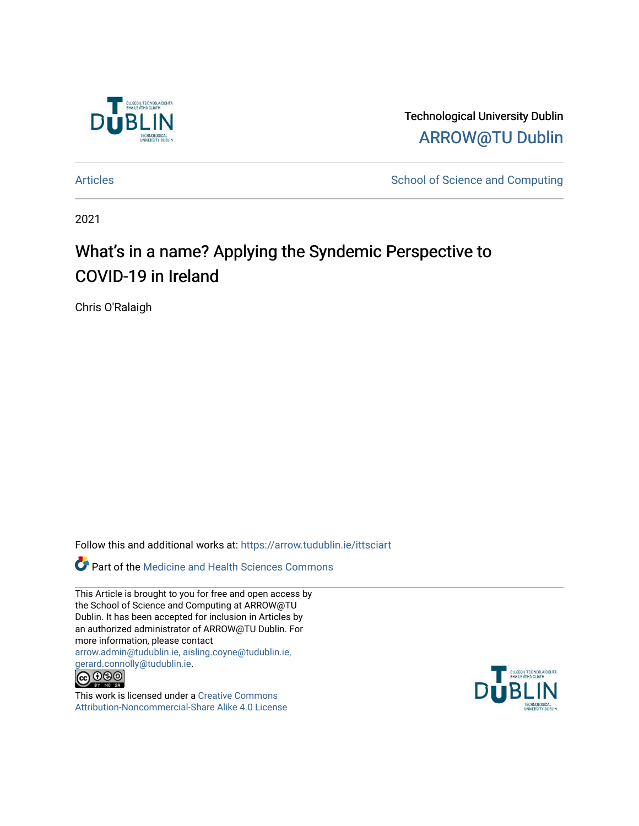

Technological University Dublin [ARROW@TU Dublin](https://arrow.tudublin.ie/) 

[Articles](https://arrow.tudublin.ie/ittsciart) **School of Science and Computing** 

2021

# What's in a name? Applying the Syndemic Perspective to COVID-19 in Ireland

Chris O'Ralaigh

Follow this and additional works at: [https://arrow.tudublin.ie/ittsciart](https://arrow.tudublin.ie/ittsciart?utm_source=arrow.tudublin.ie%2Fittsciart%2F141&utm_medium=PDF&utm_campaign=PDFCoverPages)

Part of the [Medicine and Health Sciences Commons](http://network.bepress.com/hgg/discipline/648?utm_source=arrow.tudublin.ie%2Fittsciart%2F141&utm_medium=PDF&utm_campaign=PDFCoverPages) 

This Article is brought to you for free and open access by the School of Science and Computing at ARROW@TU Dublin. It has been accepted for inclusion in Articles by an authorized administrator of ARROW@TU Dublin. For more information, please contact [arrow.admin@tudublin.ie, aisling.coyne@tudublin.ie,](mailto:arrow.admin@tudublin.ie,%20aisling.coyne@tudublin.ie,%20gerard.connolly@tudublin.ie)  [gerard.connolly@tudublin.ie](mailto:arrow.admin@tudublin.ie,%20aisling.coyne@tudublin.ie,%20gerard.connolly@tudublin.ie).



This work is licensed under a [Creative Commons](http://creativecommons.org/licenses/by-nc-sa/4.0/) [Attribution-Noncommercial-Share Alike 4.0 License](http://creativecommons.org/licenses/by-nc-sa/4.0/)

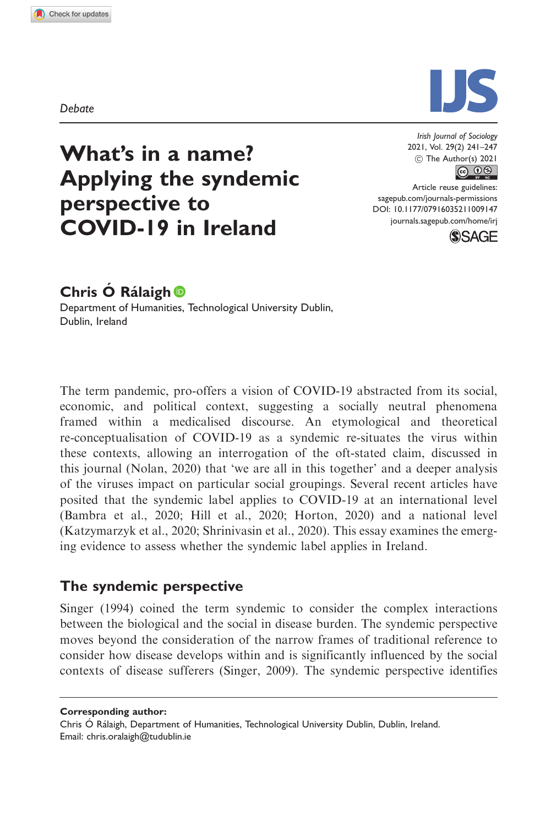Debate Debate



## What's in a name? Applying the syndemic perspective to COVID-19 in Ireland

2021, Vol. 29(2) 241–247  $\circled{c}$  The Author(s) 2021

Article reuse guidelines: [sagepub.com/journals-permissions](http://uk.sagepub.com/en-gb/journals-permissions) [DOI: 10.1177/07916035211009147](http://dx.doi.org/10.1177/07916035211009147) <journals.sagepub.com/home/irj>



## Chris Ó Rálaigh <sup>®</sup>

Department of Humanities, Technological University Dublin, Dublin, Ireland

The term pandemic, pro-offers a vision of COVID-19 abstracted from its social, economic, and political context, suggesting a socially neutral phenomena framed within a medicalised discourse. An etymological and theoretical re-conceptualisation of COVID-19 as a syndemic re-situates the virus within these contexts, allowing an interrogation of the oft-stated claim, discussed in this journal (Nolan, 2020) that 'we are all in this together' and a deeper analysis of the viruses impact on particular social groupings. Several recent articles have posited that the syndemic label applies to COVID-19 at an international level (Bambra et al., 2020; Hill et al., 2020; Horton, 2020) and a national level (Katzymarzyk et al., 2020; Shrinivasin et al., 2020). This essay examines the emerging evidence to assess whether the syndemic label applies in Ireland.

### The syndemic perspective

Singer (1994) coined the term syndemic to consider the complex interactions between the biological and the social in disease burden. The syndemic perspective moves beyond the consideration of the narrow frames of traditional reference to consider how disease develops within and is significantly influenced by the social contexts of disease sufferers (Singer, 2009). The syndemic perspective identifies

Corresponding author:

Chris Ó Rálaigh, Department of Humanities, Technological University Dublin, Dublin, Ireland. Email: [chris.oralaigh@tudublin.ie](mailto:chris.oralaigh@tudublin.ie)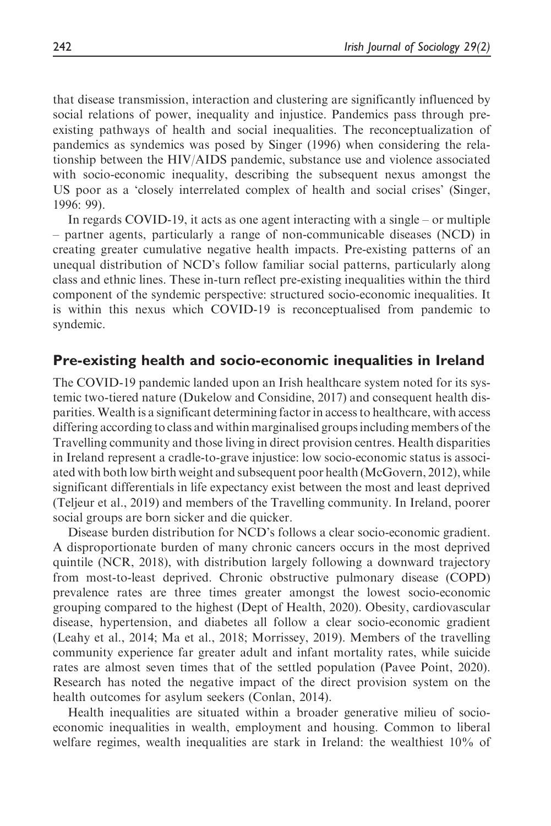that disease transmission, interaction and clustering are significantly influenced by social relations of power, inequality and injustice. Pandemics pass through preexisting pathways of health and social inequalities. The reconceptualization of pandemics as syndemics was posed by Singer (1996) when considering the relationship between the HIV/AIDS pandemic, substance use and violence associated with socio-economic inequality, describing the subsequent nexus amongst the US poor as a 'closely interrelated complex of health and social crises' (Singer, 1996: 99).

In regards COVID-19, it acts as one agent interacting with a single – or multiple – partner agents, particularly a range of non-communicable diseases (NCD) in creating greater cumulative negative health impacts. Pre-existing patterns of an unequal distribution of NCD's follow familiar social patterns, particularly along class and ethnic lines. These in-turn reflect pre-existing inequalities within the third component of the syndemic perspective: structured socio-economic inequalities. It is within this nexus which COVID-19 is reconceptualised from pandemic to syndemic.

#### Pre-existing health and socio-economic inequalities in Ireland

The COVID-19 pandemic landed upon an Irish healthcare system noted for its systemic two-tiered nature (Dukelow and Considine, 2017) and consequent health disparities. Wealth is a significant determining factor in access to healthcare, with access differing according to class and within marginalised groups including members of the Travelling community and those living in direct provision centres. Health disparities in Ireland represent a cradle-to-grave injustice: low socio-economic status is associated with both low birth weight and subsequent poor health (McGovern, 2012), while significant differentials in life expectancy exist between the most and least deprived (Teljeur et al., 2019) and members of the Travelling community. In Ireland, poorer social groups are born sicker and die quicker.

Disease burden distribution for NCD's follows a clear socio-economic gradient. A disproportionate burden of many chronic cancers occurs in the most deprived quintile (NCR, 2018), with distribution largely following a downward trajectory from most-to-least deprived. Chronic obstructive pulmonary disease (COPD) prevalence rates are three times greater amongst the lowest socio-economic grouping compared to the highest (Dept of Health, 2020). Obesity, cardiovascular disease, hypertension, and diabetes all follow a clear socio-economic gradient (Leahy et al., 2014; Ma et al., 2018; Morrissey, 2019). Members of the travelling community experience far greater adult and infant mortality rates, while suicide rates are almost seven times that of the settled population (Pavee Point, 2020). Research has noted the negative impact of the direct provision system on the health outcomes for asylum seekers (Conlan, 2014).

Health inequalities are situated within a broader generative milieu of socioeconomic inequalities in wealth, employment and housing. Common to liberal welfare regimes, wealth inequalities are stark in Ireland: the wealthiest 10% of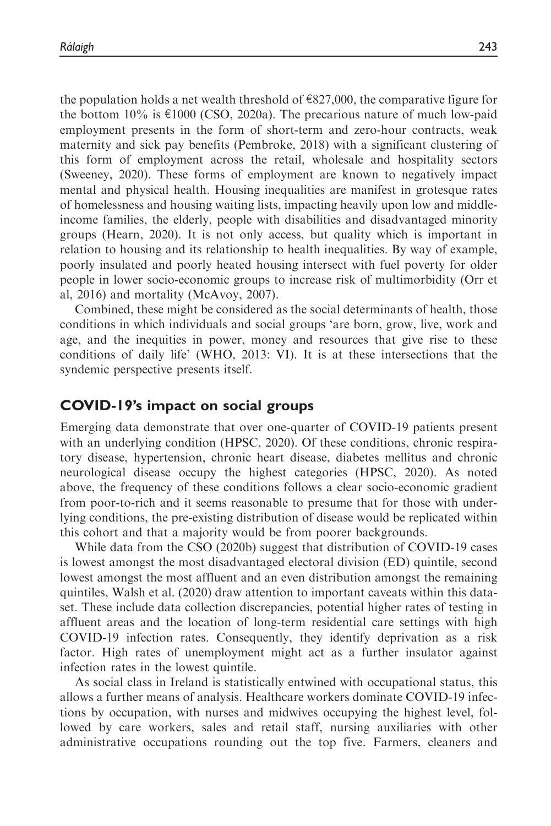the population holds a net wealth threshold of  $\epsilon$ 827,000, the comparative figure for the bottom  $10\%$  is  $\epsilon$ 1000 (CSO, 2020a). The precarious nature of much low-paid employment presents in the form of short-term and zero-hour contracts, weak maternity and sick pay benefits (Pembroke, 2018) with a significant clustering of this form of employment across the retail, wholesale and hospitality sectors (Sweeney, 2020). These forms of employment are known to negatively impact mental and physical health. Housing inequalities are manifest in grotesque rates of homelessness and housing waiting lists, impacting heavily upon low and middleincome families, the elderly, people with disabilities and disadvantaged minority groups (Hearn, 2020). It is not only access, but quality which is important in relation to housing and its relationship to health inequalities. By way of example, poorly insulated and poorly heated housing intersect with fuel poverty for older people in lower socio-economic groups to increase risk of multimorbidity (Orr et al, 2016) and mortality (McAvoy, 2007).

Combined, these might be considered as the social determinants of health, those conditions in which individuals and social groups 'are born, grow, live, work and age, and the inequities in power, money and resources that give rise to these conditions of daily life' (WHO, 2013: VI). It is at these intersections that the syndemic perspective presents itself.

#### COVID-19's impact on social groups

Emerging data demonstrate that over one-quarter of COVID-19 patients present with an underlying condition (HPSC, 2020). Of these conditions, chronic respiratory disease, hypertension, chronic heart disease, diabetes mellitus and chronic neurological disease occupy the highest categories (HPSC, 2020). As noted above, the frequency of these conditions follows a clear socio-economic gradient from poor-to-rich and it seems reasonable to presume that for those with underlying conditions, the pre-existing distribution of disease would be replicated within this cohort and that a majority would be from poorer backgrounds.

While data from the CSO (2020b) suggest that distribution of COVID-19 cases is lowest amongst the most disadvantaged electoral division (ED) quintile, second lowest amongst the most affluent and an even distribution amongst the remaining quintiles, Walsh et al. (2020) draw attention to important caveats within this dataset. These include data collection discrepancies, potential higher rates of testing in affluent areas and the location of long-term residential care settings with high COVID-19 infection rates. Consequently, they identify deprivation as a risk factor. High rates of unemployment might act as a further insulator against infection rates in the lowest quintile.

As social class in Ireland is statistically entwined with occupational status, this allows a further means of analysis. Healthcare workers dominate COVID-19 infections by occupation, with nurses and midwives occupying the highest level, followed by care workers, sales and retail staff, nursing auxiliaries with other administrative occupations rounding out the top five. Farmers, cleaners and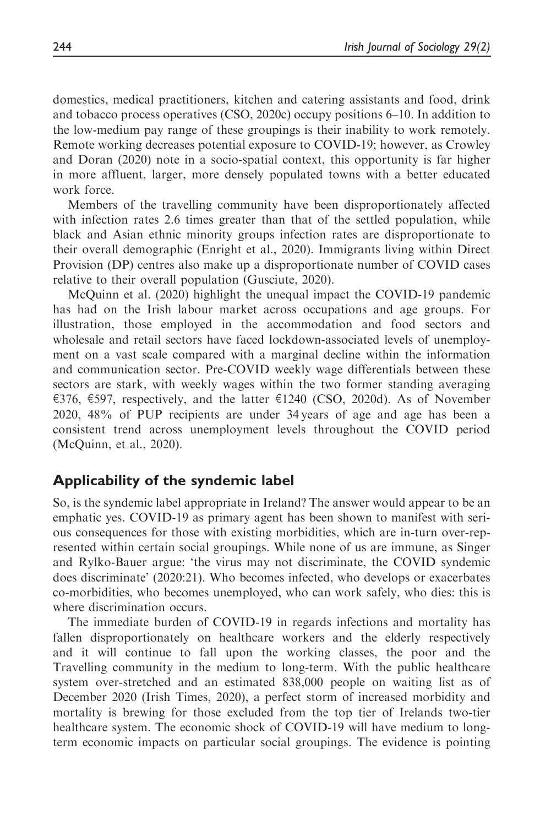domestics, medical practitioners, kitchen and catering assistants and food, drink and tobacco process operatives (CSO, 2020c) occupy positions 6–10. In addition to the low-medium pay range of these groupings is their inability to work remotely. Remote working decreases potential exposure to COVID-19; however, as Crowley and Doran (2020) note in a socio-spatial context, this opportunity is far higher in more affluent, larger, more densely populated towns with a better educated work force.

Members of the travelling community have been disproportionately affected with infection rates 2.6 times greater than that of the settled population, while black and Asian ethnic minority groups infection rates are disproportionate to their overall demographic (Enright et al., 2020). Immigrants living within Direct Provision (DP) centres also make up a disproportionate number of COVID cases relative to their overall population (Gusciute, 2020).

McQuinn et al. (2020) highlight the unequal impact the COVID-19 pandemic has had on the Irish labour market across occupations and age groups. For illustration, those employed in the accommodation and food sectors and wholesale and retail sectors have faced lockdown-associated levels of unemployment on a vast scale compared with a marginal decline within the information and communication sector. Pre-COVID weekly wage differentials between these sectors are stark, with weekly wages within the two former standing averaging €376, €597, respectively, and the latter  $€1240$  (CSO, 2020d). As of November 2020, 48% of PUP recipients are under 34 years of age and age has been a consistent trend across unemployment levels throughout the COVID period (McQuinn, et al., 2020).

#### Applicability of the syndemic label

So, is the syndemic label appropriate in Ireland? The answer would appear to be an emphatic yes. COVID-19 as primary agent has been shown to manifest with serious consequences for those with existing morbidities, which are in-turn over-represented within certain social groupings. While none of us are immune, as Singer and Rylko-Bauer argue: 'the virus may not discriminate, the COVID syndemic does discriminate' (2020:21). Who becomes infected, who develops or exacerbates co-morbidities, who becomes unemployed, who can work safely, who dies: this is where discrimination occurs.

The immediate burden of COVID-19 in regards infections and mortality has fallen disproportionately on healthcare workers and the elderly respectively and it will continue to fall upon the working classes, the poor and the Travelling community in the medium to long-term. With the public healthcare system over-stretched and an estimated 838,000 people on waiting list as of December 2020 (Irish Times, 2020), a perfect storm of increased morbidity and mortality is brewing for those excluded from the top tier of Irelands two-tier healthcare system. The economic shock of COVID-19 will have medium to longterm economic impacts on particular social groupings. The evidence is pointing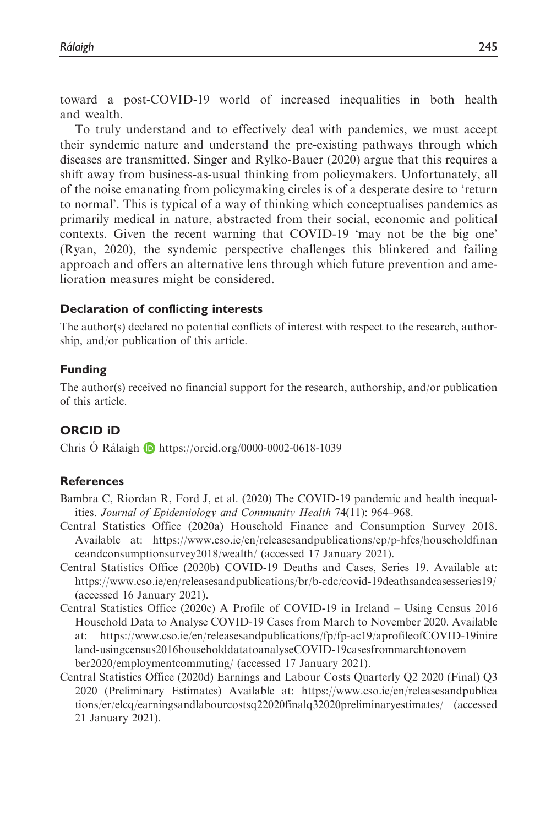toward a post-COVID-19 world of increased inequalities in both health and wealth.

To truly understand and to effectively deal with pandemics, we must accept their syndemic nature and understand the pre-existing pathways through which diseases are transmitted. Singer and Rylko-Bauer (2020) argue that this requires a shift away from business-as-usual thinking from policymakers. Unfortunately, all of the noise emanating from policymaking circles is of a desperate desire to 'return to normal'. This is typical of a way of thinking which conceptualises pandemics as primarily medical in nature, abstracted from their social, economic and political contexts. Given the recent warning that COVID-19 'may not be the big one' (Ryan, 2020), the syndemic perspective challenges this blinkered and failing approach and offers an alternative lens through which future prevention and amelioration measures might be considered.

#### Declaration of conflicting interests

The author(s) declared no potential conflicts of interest with respect to the research, authorship, and/or publication of this article.

#### Funding

The author(s) received no financial support for the research, authorship, and/or publication of this article.

#### ORCID iD

Chris O´ Rálaigh D´ <https://orcid.org/0000-0002-0618-1039>

#### **References**

- Bambra C, Riordan R, Ford J, et al. (2020) The COVID-19 pandemic and health inequalities. Journal of Epidemiology and Community Health 74(11): 964–968.
- Central Statistics Office (2020a) Household Finance and Consumption Survey 2018. Available at: [https://www.cso.ie/en/releasesandpublications/ep/p-hfcs/householdfinan](https://www.cso.ie/en/releasesandpublications/ep/p-hfcs/householdfinanceandconsumptionsurvey2018/wealth/) [ceandconsumptionsurvey2018/wealth/](https://www.cso.ie/en/releasesandpublications/ep/p-hfcs/householdfinanceandconsumptionsurvey2018/wealth/) (accessed 17 January 2021).
- Central Statistics Office (2020b) COVID-19 Deaths and Cases, Series 19. Available at: <https://www.cso.ie/en/releasesandpublications/br/b-cdc/covid-19deathsandcasesseries19/> (accessed 16 January 2021).
- Central Statistics Office (2020c) A Profile of COVID-19 in Ireland Using Census 2016 Household Data to Analyse COVID-19 Cases from March to November 2020. Available at: [https://www.cso.ie/en/releasesandpublications/fp/fp-ac19/aprofileofCOVID-19inire](https://www.cso.ie/en/releasesandpublications/fp/fp-ac19/aprofileofCOVID-19inireland-usingcensus2016householddatatoanalyseCOVID-19casesfrommarchtonovember2020/employmentcommuting/) [land-usingcensus2016householddatatoanalyseCOVID-19casesfrommarchtonovem](https://www.cso.ie/en/releasesandpublications/fp/fp-ac19/aprofileofCOVID-19inireland-usingcensus2016householddatatoanalyseCOVID-19casesfrommarchtonovember2020/employmentcommuting/) [ber2020/employmentcommuting/](https://www.cso.ie/en/releasesandpublications/fp/fp-ac19/aprofileofCOVID-19inireland-usingcensus2016householddatatoanalyseCOVID-19casesfrommarchtonovember2020/employmentcommuting/) (accessed 17 January 2021).
- Central Statistics Office (2020d) Earnings and Labour Costs Quarterly Q2 2020 (Final) Q3 2020 (Preliminary Estimates) Available at: [https://www.cso.ie/en/releasesandpublica](https://www.cso.ie/en/releasesandpublications/er/elcq/earningsandlabourcostsq22020finalq32020preliminaryestimates/) [tions/er/elcq/earningsandlabourcostsq22020finalq32020preliminaryestimates/](https://www.cso.ie/en/releasesandpublications/er/elcq/earningsandlabourcostsq22020finalq32020preliminaryestimates/) (accessed 21 January 2021).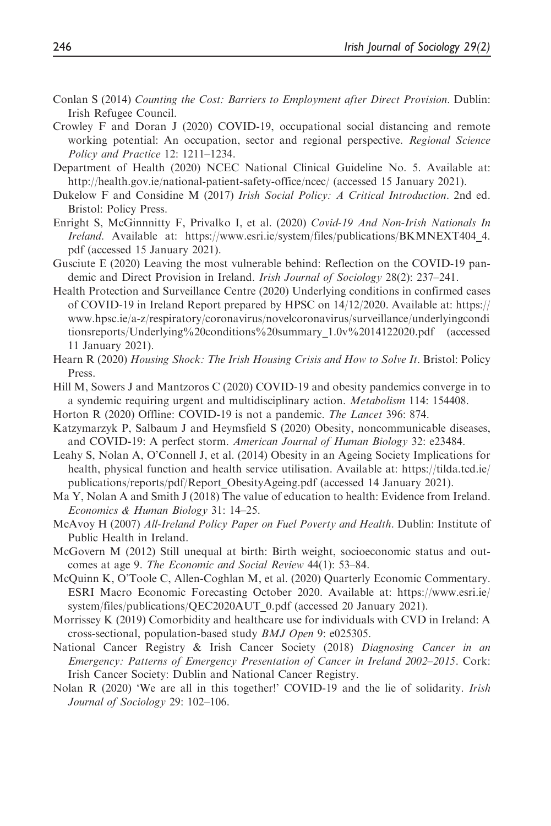- Conlan S (2014) Counting the Cost: Barriers to Employment after Direct Provision. Dublin: Irish Refugee Council.
- Crowley F and Doran J (2020) COVID-19, occupational social distancing and remote working potential: An occupation, sector and regional perspective. Regional Science Policy and Practice 12: 1211–1234.
- Department of Health (2020) NCEC National Clinical Guideline No. 5. Available at: [http://health.gov.ie/national-patient-safety-office/ncec/](http://ttp://health.gov.ie/national-patient-safety-office/ncec/) (accessed 15 January 2021).
- Dukelow F and Considine M (2017) Irish Social Policy: A Critical Introduction. 2nd ed. Bristol: Policy Press.
- Enright S, McGinnnitty F, Privalko I, et al. (2020) Covid-19 And Non-Irish Nationals In Ireland. Available at: https://www.esri.ie/system/files/publications/BKMNEXT404 4. [pdf](https://www.esri.ie/system/files/publications/BKMNEXT404_4.pdf) (accessed 15 January 2021).
- Gusciute E (2020) Leaving the most vulnerable behind: Reflection on the COVID-19 pandemic and Direct Provision in Ireland. Irish Journal of Sociology 28(2): 237–241.
- Health Protection and Surveillance Centre (2020) Underlying conditions in confirmed cases of COVID-19 in Ireland Report prepared by HPSC on 14/12/2020. Available at: [https://](at: https://www.hpsc.ie/a-z/respiratory/coronavirus/novelcoronavirus/surveillance/underlyingconditionsreports/Underlying%20conditions%20summary_1.0v%2014122020.pdf) [www.hpsc.ie/a-z/respiratory/coronavirus/novelcoronavirus/surveillance/underlyingcondi](at: https://www.hpsc.ie/a-z/respiratory/coronavirus/novelcoronavirus/surveillance/underlyingconditionsreports/Underlying%20conditions%20summary_1.0v%2014122020.pdf) [tionsreports/Underlying%20conditions%20summary\\_1.0v%2014122020.pdf](at: https://www.hpsc.ie/a-z/respiratory/coronavirus/novelcoronavirus/surveillance/underlyingconditionsreports/Underlying%20conditions%20summary_1.0v%2014122020.pdf) (accessed 11 January 2021).
- Hearn R (2020) Housing Shock: The Irish Housing Crisis and How to Solve It. Bristol: Policy Press.
- Hill M, Sowers J and Mantzoros C (2020) COVID-19 and obesity pandemics converge in to a syndemic requiring urgent and multidisciplinary action. *Metabolism* 114: 154408.
- Horton R (2020) Offline: COVID-19 is not a pandemic. The Lancet 396: 874.
- Katzymarzyk P, Salbaum J and Heymsfield S (2020) Obesity, noncommunicable diseases, and COVID-19: A perfect storm. American Journal of Human Biology 32: e23484.
- Leahy S, Nolan A, O'Connell J, et al. (2014) Obesity in an Ageing Society Implications for health, physical function and health service utilisation. Available at: [https://tilda.tcd.ie/](https://tilda.tcd.ie/publications/reports/pdf/Report_ObesityAgeing.pdf) [publications/reports/pdf/Report\\_ObesityAgeing.pdf](https://tilda.tcd.ie/publications/reports/pdf/Report_ObesityAgeing.pdf) (accessed 14 January 2021).
- Ma Y, Nolan A and Smith J (2018) The value of education to health: Evidence from Ireland. Economics & Human Biology 31: 14–25.
- McAvoy H (2007) All-Ireland Policy Paper on Fuel Poverty and Health. Dublin: Institute of Public Health in Ireland.
- McGovern M (2012) Still unequal at birth: Birth weight, socioeconomic status and outcomes at age 9. The Economic and Social Review 44(1): 53–84.
- McQuinn K, O'Toole C, Allen-Coghlan M, et al. (2020) Quarterly Economic Commentary. ESRI Macro Economic Forecasting October 2020. Available at: [https://www.esri.ie/](https://www.esri.ie/system/files/publications/QEC2020AUT_0.pdf) [system/files/publications/QEC2020AUT\\_0.pdf](https://www.esri.ie/system/files/publications/QEC2020AUT_0.pdf) (accessed 20 January 2021).
- Morrissey K (2019) Comorbidity and healthcare use for individuals with CVD in Ireland: A cross-sectional, population-based study BMJ Open 9: e025305.
- National Cancer Registry & Irish Cancer Society (2018) Diagnosing Cancer in an Emergency: Patterns of Emergency Presentation of Cancer in Ireland 2002–2015. Cork: Irish Cancer Society: Dublin and National Cancer Registry.
- Nolan R (2020) 'We are all in this together!' COVID-19 and the lie of solidarity. *Irish* Journal of Sociology 29: 102–106.